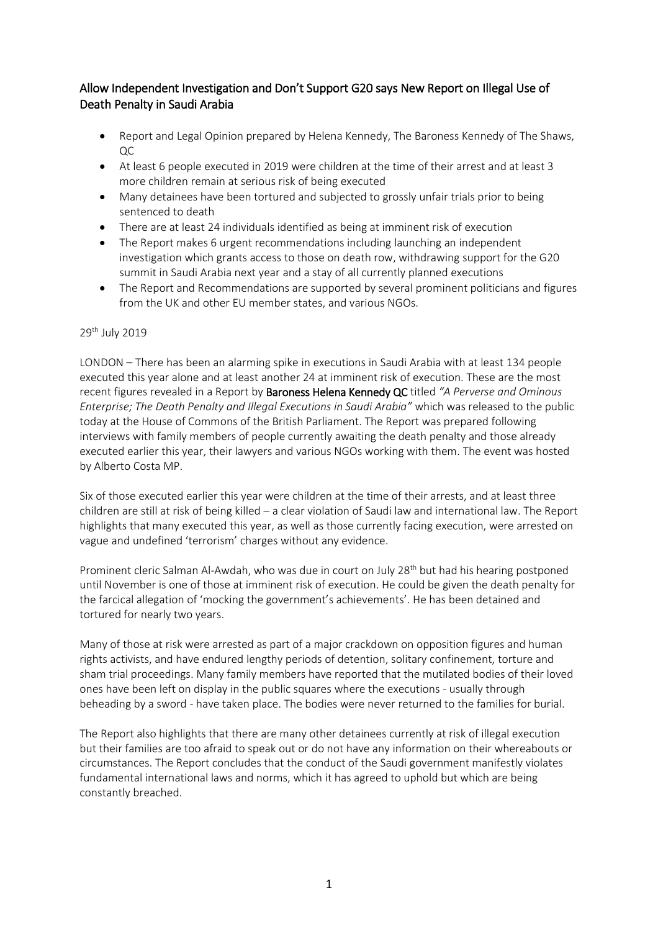## Allow Independent Investigation and Don't Support G20 says New Report on Illegal Use of Death Penalty in Saudi Arabia

- Report and Legal Opinion prepared by Helena Kennedy, The Baroness Kennedy of The Shaws, QC
- At least 6 people executed in 2019 were children at the time of their arrest and at least 3 more children remain at serious risk of being executed
- Many detainees have been tortured and subjected to grossly unfair trials prior to being sentenced to death
- There are at least 24 individuals identified as being at imminent risk of execution
- The Report makes 6 urgent recommendations including launching an independent investigation which grants access to those on death row, withdrawing support for the G20 summit in Saudi Arabia next year and a stay of all currently planned executions
- The Report and Recommendations are supported by several prominent politicians and figures from the UK and other EU member states, and various NGOs.

## 29<sup>th</sup> July 2019

LONDON – There has been an alarming spike in executions in Saudi Arabia with at least 134 people executed this year alone and at least another 24 at imminent risk of execution. These are the most recent figures revealed in a Report by Baroness Helena Kennedy QC titled *"A Perverse and Ominous Enterprise; The Death Penalty and Illegal Executions in Saudi Arabia"* which was released to the public today at the House of Commons of the British Parliament. The Report was prepared following interviews with family members of people currently awaiting the death penalty and those already executed earlier this year, their lawyers and various NGOs working with them. The event was hosted by Alberto Costa MP.

Six of those executed earlier this year were children at the time of their arrests, and at least three children are still at risk of being killed – a clear violation of Saudi law and international law. The Report highlights that many executed this year, as well as those currently facing execution, were arrested on vague and undefined 'terrorism' charges without any evidence.

Prominent cleric Salman Al-Awdah, who was due in court on July 28<sup>th</sup> but had his hearing postponed until November is one of those at imminent risk of execution. He could be given the death penalty for the farcical allegation of 'mocking the government's achievements'. He has been detained and tortured for nearly two years.

Many of those at risk were arrested as part of a major crackdown on opposition figures and human rights activists, and have endured lengthy periods of detention, solitary confinement, torture and sham trial proceedings. Many family members have reported that the mutilated bodies of their loved ones have been left on display in the public squares where the executions - usually through beheading by a sword - have taken place. The bodies were never returned to the families for burial.

The Report also highlights that there are many other detainees currently at risk of illegal execution but their families are too afraid to speak out or do not have any information on their whereabouts or circumstances. The Report concludes that the conduct of the Saudi government manifestly violates fundamental international laws and norms, which it has agreed to uphold but which are being constantly breached.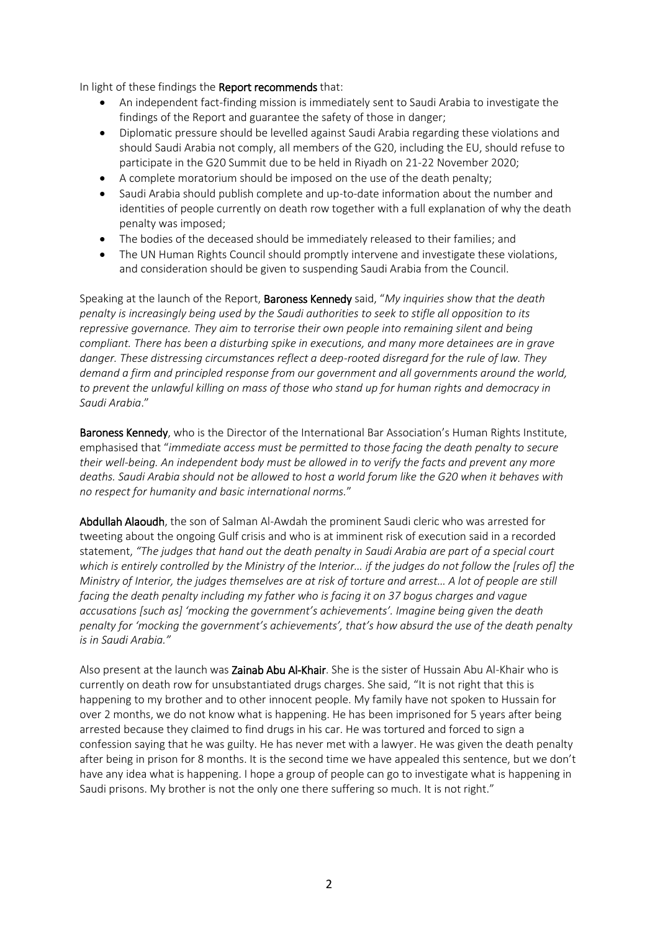In light of these findings the Report recommends that:

- An independent fact-finding mission is immediately sent to Saudi Arabia to investigate the findings of the Report and guarantee the safety of those in danger;
- Diplomatic pressure should be levelled against Saudi Arabia regarding these violations and should Saudi Arabia not comply, all members of the G20, including the EU, should refuse to participate in the G20 Summit due to be held in Riyadh on 21-22 November 2020;
- A complete moratorium should be imposed on the use of the death penalty;
- Saudi Arabia should publish complete and up-to-date information about the number and identities of people currently on death row together with a full explanation of why the death penalty was imposed;
- The bodies of the deceased should be immediately released to their families; and
- The UN Human Rights Council should promptly intervene and investigate these violations, and consideration should be given to suspending Saudi Arabia from the Council.

Speaking at the launch of the Report, Baroness Kennedy said, "*My inquiries show that the death penalty is increasingly being used by the Saudi authorities to seek to stifle all opposition to its repressive governance. They aim to terrorise their own people into remaining silent and being compliant. There has been a disturbing spike in executions, and many more detainees are in grave danger. These distressing circumstances reflect a deep-rooted disregard for the rule of law. They demand a firm and principled response from our government and all governments around the world, to prevent the unlawful killing on mass of those who stand up for human rights and democracy in Saudi Arabia*."

Baroness Kennedy, who is the Director of the International Bar Association's Human Rights Institute, emphasised that "*immediate access must be permitted to those facing the death penalty to secure their well-being. An independent body must be allowed in to verify the facts and prevent any more deaths. Saudi Arabia should not be allowed to host a world forum like the G20 when it behaves with no respect for humanity and basic international norms.*"

Abdullah Alaoudh, the son of Salman Al-Awdah the prominent Saudi cleric who was arrested for tweeting about the ongoing Gulf crisis and who is at imminent risk of execution said in a recorded statement, *"The judges that hand out the death penalty in Saudi Arabia are part of a special court which is entirely controlled by the Ministry of the Interior… if the judges do not follow the [rules of] the Ministry of Interior, the judges themselves are at risk of torture and arrest… A lot of people are still facing the death penalty including my father who is facing it on 37 bogus charges and vague accusations [such as] 'mocking the government's achievements'. Imagine being given the death penalty for 'mocking the government's achievements', that's how absurd the use of the death penalty is in Saudi Arabia."*

Also present at the launch was Zainab Abu Al-Khair. She is the sister of Hussain Abu Al-Khair who is currently on death row for unsubstantiated drugs charges. She said, "It is not right that this is happening to my brother and to other innocent people. My family have not spoken to Hussain for over 2 months, we do not know what is happening. He has been imprisoned for 5 years after being arrested because they claimed to find drugs in his car. He was tortured and forced to sign a confession saying that he was guilty. He has never met with a lawyer. He was given the death penalty after being in prison for 8 months. It is the second time we have appealed this sentence, but we don't have any idea what is happening. I hope a group of people can go to investigate what is happening in Saudi prisons. My brother is not the only one there suffering so much. It is not right."